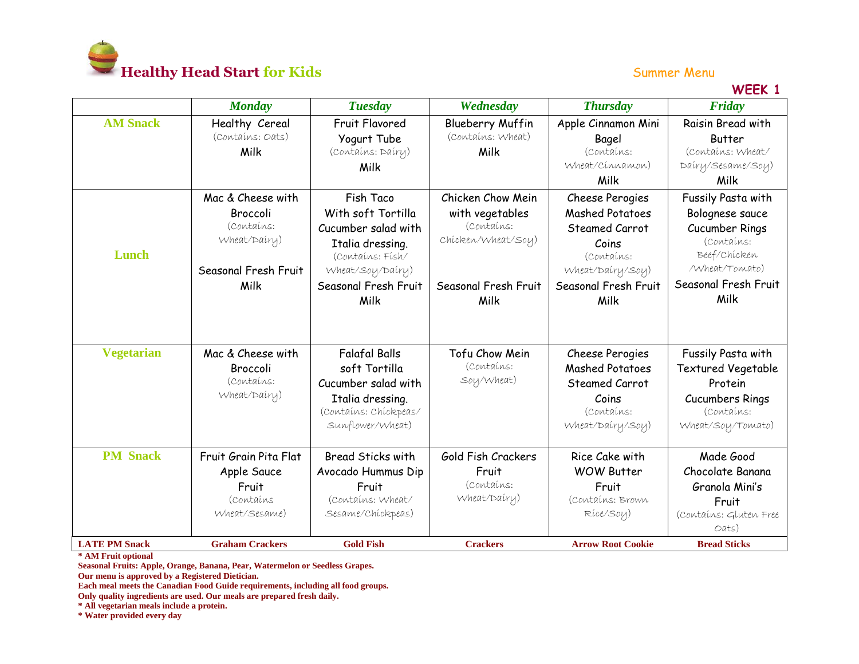

## **WEEK 1**

|                      | <b>Monday</b>          | <b>Tuesday</b>           | Wednesday               | <b>Thursday</b>          | Friday                    |
|----------------------|------------------------|--------------------------|-------------------------|--------------------------|---------------------------|
| <b>AM Snack</b>      | Healthy Cereal         | <b>Fruit Flavored</b>    | <b>Blueberry Muffin</b> | Apple Cinnamon Mini      | Raisin Bread with         |
|                      | (Contains: Oats)       | Yogurt Tube              | (Contains: Wheat)       | Bagel                    | <b>Butter</b>             |
|                      | Milk                   | (Contains: Dairy)        | Milk                    | (Contains:               | (Contains: Wheat/         |
|                      |                        | Milk                     |                         | Wheat/Cinnamon)          | Dairy/Sesame/Soy)         |
|                      |                        |                          |                         | Milk                     | Milk                      |
|                      | Mac & Cheese with      | Fish Taco                | Chicken Chow Mein       | Cheese Perogies          | Fussily Pasta with        |
|                      | Broccoli               | With soft Tortilla       | with vegetables         | <b>Mashed Potatoes</b>   | Bolognese sauce           |
|                      | (Contains:             | Cucumber salad with      | (Contains:              | Steamed Carrot           | Cucumber Rings            |
|                      | Wheat/Dairy)           | Italia dressing.         | Chicken/Wheat/Soy)      | Coins                    | (Contains:                |
| Lunch                |                        | (Contains: Fish/         |                         | (Contains:               | Beef/Chicken              |
|                      | Seasonal Fresh Fruit   | Wheat/Soy/Dairy)         |                         | Wheat/Dairy/Soy)         | /Wheat/Tomato)            |
|                      | Milk                   | Seasonal Fresh Fruit     | Seasonal Fresh Fruit    | Seasonal Fresh Fruit     | Seasonal Fresh Fruit      |
|                      |                        | Milk                     | Milk                    | Milk                     | Milk                      |
|                      |                        |                          |                         |                          |                           |
| <b>Vegetarian</b>    | Mac & Cheese with      | <b>Falafal Balls</b>     | Tofu Chow Mein          | Cheese Perogies          | Fussily Pasta with        |
|                      | Broccoli               | soft Tortilla            | (Contains:              | <b>Mashed Potatoes</b>   | <b>Textured Vegetable</b> |
|                      | (Contains:             | Cucumber salad with      | Soy/Wheat)              | Steamed Carrot           | Protein                   |
|                      | Wheat/Dairy)           | Italia dressing.         |                         | Coins                    | <b>Cucumbers Rings</b>    |
|                      |                        | (Contains: Chickpeas/    |                         | (Contains:               | (Contains:                |
|                      |                        | Sunflower/Wheat)         |                         | Wheat/Dairy/Soy)         | Wheat/Soy/Tomato)         |
|                      |                        |                          |                         |                          |                           |
| <b>PM</b> Snack      | Fruit Grain Pita Flat  | <b>Bread Sticks with</b> | Gold Fish Crackers      | Rice Cake with           | Made Good                 |
|                      | Apple Sauce            | Avocado Hummus Dip       | Fruit                   | <b>WOW Butter</b>        | Chocolate Banana          |
|                      | Fruit                  | Fruit                    | Contains:               | Fruit                    | Granola Mini's            |
|                      | Contains               | (Contains: Wheat/        | Wheat/Dairy)            | (Contains: Brown         | Fruit                     |
|                      | Wheat/Sesame)          | Sesame/Chickpeas)        |                         | Rice/Soy)                | (Contains: Gluten Free    |
|                      |                        |                          |                         |                          | Oats)                     |
| <b>LATE PM Snack</b> | <b>Graham Crackers</b> | <b>Gold Fish</b>         | <b>Crackers</b>         | <b>Arrow Root Cookie</b> | <b>Bread Sticks</b>       |

**\* AM Fruit optional**

**Seasonal Fruits: Apple, Orange, Banana, Pear, Watermelon or Seedless Grapes.** 

**Our menu is approved by a Registered Dietician.**

**Each meal meets the Canadian Food Guide requirements, including all food groups.** 

**Only quality ingredients are used. Our meals are prepared fresh daily.**

**\* All vegetarian meals include a protein.**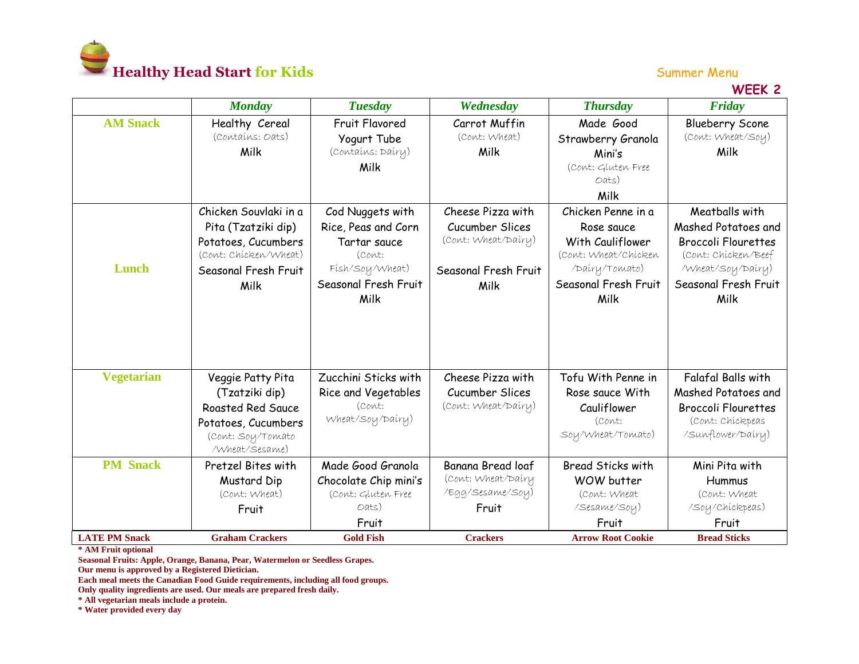

## **WEEK 2**

|                      | <b>Monday</b>          | <b>Tuesday</b>        | Wednesday            | <b>Thursday</b>          | Friday                     |
|----------------------|------------------------|-----------------------|----------------------|--------------------------|----------------------------|
| <b>AM Snack</b>      | Healthy Cereal         | <b>Fruit Flavored</b> | Carrot Muffin        | Made Good                | <b>Blueberry Scone</b>     |
|                      | (Contains: Oats)       | Yogurt Tube           | (Cont: Wheat)        | Strawberry Granola       | (Cont: Wheat/Soy)          |
|                      | Milk                   | (Contains: Dairy)     | Milk                 | Mini's                   | Milk                       |
|                      |                        | Milk                  |                      | (Cont: Gluten Free       |                            |
|                      |                        |                       |                      | Oats)                    |                            |
|                      |                        |                       |                      | Milk                     |                            |
|                      | Chicken Souvlaki in a  | Cod Nuggets with      | Cheese Pizza with    | Chicken Penne in a       | Meatballs with             |
|                      | Pita (Tzatziki dip)    | Rice, Peas and Corn   | Cucumber Slices      | Rose sauce               | Mashed Potatoes and        |
|                      | Potatoes, Cucumbers    | Tartar sauce          | (Cont: Wheat/Dairy)  | With Cauliflower         | <b>Broccoli Flourettes</b> |
|                      | (Cont: Chicken/Wheat)  | (Cont:                |                      | (Cont: Wheat/Chicken     | (Cont: Chicken/Beef        |
| Lunch                | Seasonal Fresh Fruit   | Fish/Soy/Wheat)       | Seasonal Fresh Fruit | /Dairy/Tomato)           | /Wheat/Soy/Dairy)          |
|                      | Milk                   | Seasonal Fresh Fruit  | Milk                 | Seasonal Fresh Fruit     | Seasonal Fresh Fruit       |
|                      |                        | Milk                  |                      | Milk                     | Milk                       |
|                      |                        |                       |                      |                          |                            |
|                      |                        |                       |                      |                          |                            |
|                      |                        |                       |                      |                          |                            |
|                      |                        |                       |                      |                          |                            |
| <b>Vegetarian</b>    | Veggie Patty Pita      | Zucchini Sticks with  | Cheese Pizza with    | Tofu With Penne in       | Falafal Balls with         |
|                      | (Tzatziki dip)         | Rice and Vegetables   | Cucumber Slices      | Rose sauce With          | Mashed Potatoes and        |
|                      | Roasted Red Sauce      | (Cont:                | (Cont: Wheat/Dairy)  | Cauliflower              | <b>Broccoli Flourettes</b> |
|                      | Potatoes, Cucumbers    | Wheat/Soy/Dairy)      |                      | (Cont:                   | (Cont: Chickpeas           |
|                      | (Cont: Soy/Tomato      |                       |                      | Soy/Wheat/Tomato)        | /Sunflower/Dairy)          |
|                      | /Wheat/Sesame)         |                       |                      |                          |                            |
| <b>PM</b> Snack      | Pretzel Bites with     | Made Good Granola     | Banana Bread loaf    | <b>Bread Sticks with</b> | Mini Pita with             |
|                      | Mustard Dip            | Chocolate Chip mini's | (Cont: Wheat/Dairy   | WOW butter               | Hummus                     |
|                      | (Cont: Wheat)          | (Cont: Gluten Free    | /Egg/Sesame/Soy)     | (Cont: Wheat             | (Cont: Wheat               |
|                      | Fruit                  | Oats)                 | Fruit                | /Sesame/Soy)             | /Soy/Chickpeas)            |
|                      |                        | Fruit                 |                      | Fruit                    | Fruit                      |
| <b>LATE PM Snack</b> | <b>Graham Crackers</b> | <b>Gold Fish</b>      | <b>Crackers</b>      | <b>Arrow Root Cookie</b> | <b>Bread Sticks</b>        |

**\* AM Fruit optional**

**Seasonal Fruits: Apple, Orange, Banana, Pear, Watermelon or Seedless Grapes.** 

**Our menu is approved by a Registered Dietician.**

**Each meal meets the Canadian Food Guide requirements, including all food groups.** 

**Only quality ingredients are used. Our meals are prepared fresh daily.**

**\* All vegetarian meals include a protein.**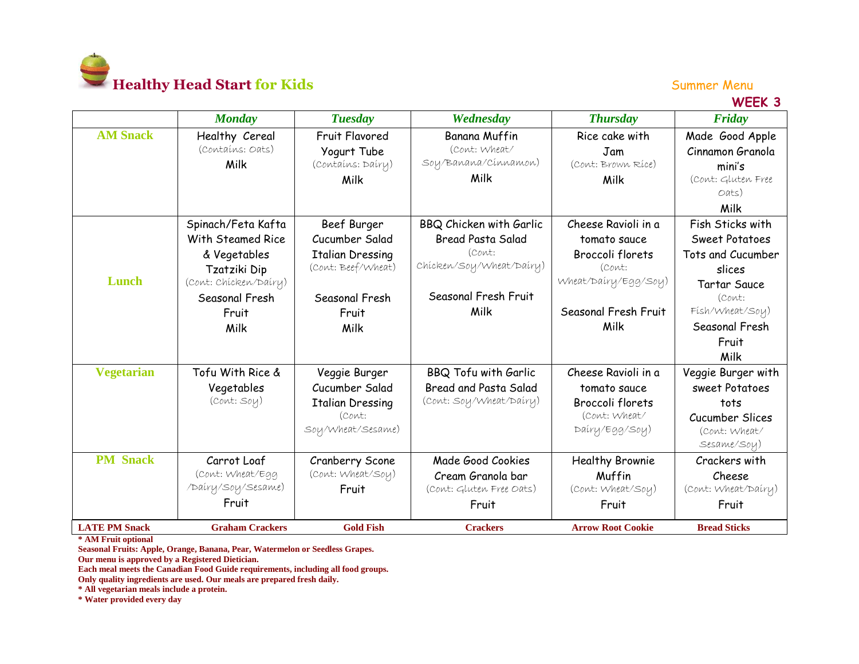

**WEEK 3**

|                      | <b>Monday</b>          | <b>Tuesday</b>          | Wednesday                | <b>Thursday</b>          | Friday                |
|----------------------|------------------------|-------------------------|--------------------------|--------------------------|-----------------------|
| <b>AM Snack</b>      | Healthy Cereal         | Fruit Flavored          | <b>Banana Muffin</b>     | Rice cake with           | Made Good Apple       |
|                      | (Contains: Oats)       | Yogurt Tube             | (Cont: Wheat/            | Jam                      | Cinnamon Granola      |
|                      | Milk                   | (Contains: Dairy)       | Soy/Banana/Cinnamon)     | (Cont: Brown Rice)       | mini's                |
|                      |                        | Milk                    | Milk                     | Milk                     | (Cont: Gluten Free    |
|                      |                        |                         |                          |                          | Oats)                 |
|                      |                        |                         |                          |                          | Milk                  |
|                      | Spinach/Feta Kafta     | Beef Burger             | BBQ Chicken with Garlic  | Cheese Ravioli in a      | Fish Sticks with      |
|                      | With Steamed Rice      | Cucumber Salad          | <b>Bread Pasta Salad</b> | tomato sauce             | <b>Sweet Potatoes</b> |
|                      | & Vegetables           | <b>Italian Dressing</b> | (Cont:                   | Broccoli florets         | Tots and Cucumber     |
|                      | Tzatziki Dip           | (Cont: Beef/Wheat)      | Chicken/Soy/Wheat/Dairy) | (Cont:                   | slices                |
| Lunch                | (Cont: Chicken/Dairy)  |                         |                          | Wheat/Dairy/Egg/Soy)     | <b>Tartar Sauce</b>   |
|                      | Seasonal Fresh         | Seasonal Fresh          | Seasonal Fresh Fruit     |                          | (Cont:                |
|                      | Fruit                  | Fruit                   | Milk                     | Seasonal Fresh Fruit     | Fish/Wheat/Soy)       |
|                      | Milk                   | Milk                    |                          | Milk                     | Seasonal Fresh        |
|                      |                        |                         |                          |                          | Fruit                 |
|                      |                        |                         |                          |                          | Milk                  |
| <b>Vegetarian</b>    | Tofu With Rice &       | Veggie Burger           | BBQ Tofu with Garlic     | Cheese Ravioli in a      | Veggie Burger with    |
|                      | Vegetables             | Cucumber Salad          | Bread and Pasta Salad    | tomato sauce             | sweet Potatoes        |
|                      | (Cont: Soy)            | <b>Italian Dressing</b> | (Cont: Soy/Wheat/Dairy)  | Broccoli florets         | tots                  |
|                      |                        | (Cont:                  |                          | (Cont: Wheat/            | Cucumber Slices       |
|                      |                        | Soy/Wheat/Sesame)       |                          | Dairy/Egg/Soy)           | (Cont: Wheat/         |
|                      |                        |                         |                          |                          | Sesame/Soy)           |
| <b>PM</b> Snack      | Carrot Loaf            | Cranberry Scone         | Made Good Cookies        | <b>Healthy Brownie</b>   | Crackers with         |
|                      | (Cont: Wheat/Egg       | (Cont: Wheat/Soy)       | Cream Granola bar        | Muffin                   | Cheese                |
|                      | /Dairy/Soy/Sesame)     | Fruit                   | (Cont: Gluten Free Oats) | (Cont: Wheat/Soy)        | (Cont: Wheat/Dairy)   |
|                      | Fruit                  |                         | Fruit                    | Fruit                    | Fruit                 |
| <b>LATE PM Snack</b> | <b>Graham Crackers</b> | <b>Gold Fish</b>        | <b>Crackers</b>          | <b>Arrow Root Cookie</b> | <b>Bread Sticks</b>   |

**\* AM Fruit optional**

**Seasonal Fruits: Apple, Orange, Banana, Pear, Watermelon or Seedless Grapes. Our menu is approved by a Registered Dietician.**

**Each meal meets the Canadian Food Guide requirements, including all food groups.** 

**Only quality ingredients are used. Our meals are prepared fresh daily.**

**\* All vegetarian meals include a protein.**